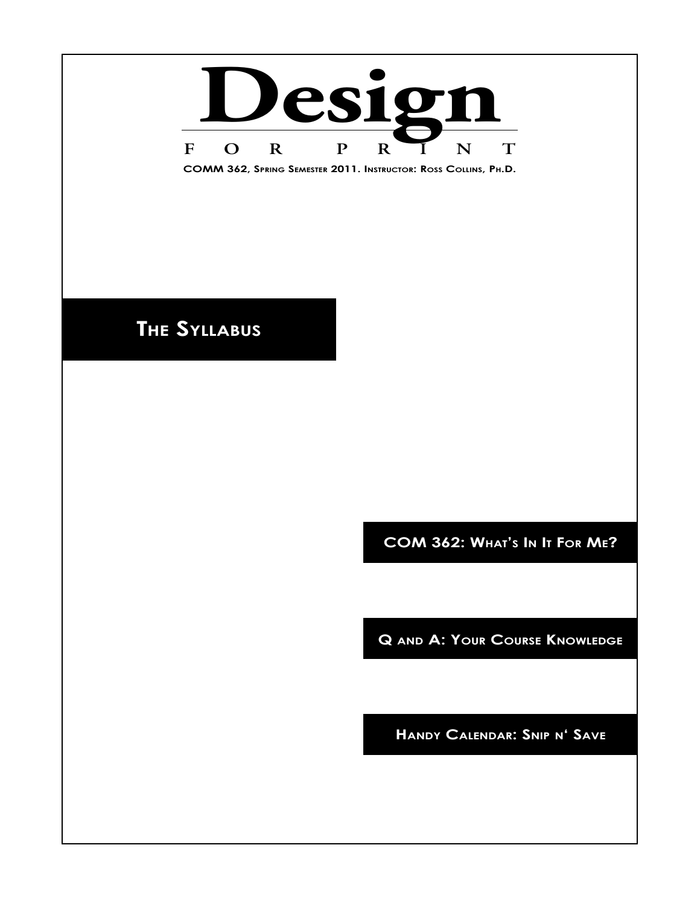

## **The Syllabus**

**COM 362: What's In It For Me?**

**Q and A: Your Course Knowledge**

**Handy Calendar: Snip n' Save**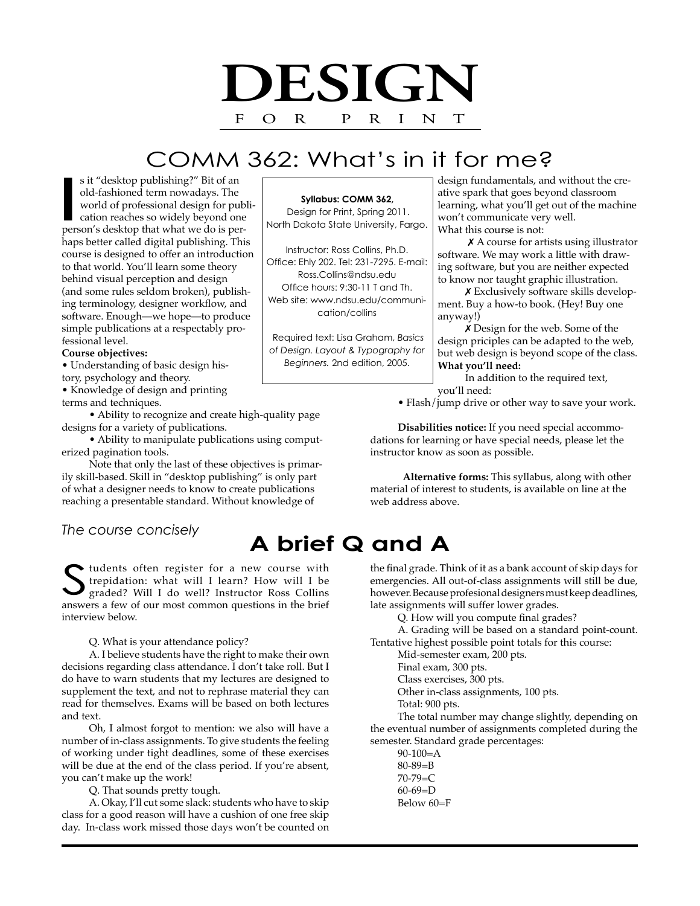# **DESIGN** F O R P R I N T

## COMM 362: What's in it for me?

s it "desktop publishing?" Bit of an old-fashioned term nowadays. The world of professional design for publication reaches so widely beyond one s it "desktop publishing?" Bit of an old-fashioned term nowadays. The world of professional design for pub cation reaches so widely beyond one person's desktop that what we do is perhaps better called digital publishing. This course is designed to offer an introduction to that world. You'll learn some theory behind visual perception and design (and some rules seldom broken), publishing terminology, designer workflow, and software. Enough—we hope—to produce simple publications at a respectably professional level.

**Course objectives:**

- Understanding of basic design history, psychology and theory.
- Knowledge of design and printing terms and techniques.

• Ability to recognize and create high-quality page designs for a variety of publications.

• Ability to manipulate publications using computerized pagination tools.

Note that only the last of these objectives is primarily skill-based. Skill in "desktop publishing" is only part of what a designer needs to know to create publications reaching a presentable standard. Without knowledge of

*The course concisely*

#### tudents often register for a new course with trepidation: what will I learn? How will I be graded? Will I do well? Instructor Ross Collins Sudents often register for a new course with<br>trepidation: what will I learn? How will I be<br>graded? Will I do well? Instructor Ross Collins<br>answers a few of our most common questions in the brief interview below.

Q. What is your attendance policy?

A. I believe students have the right to make their own decisions regarding class attendance. I don't take roll. But I do have to warn students that my lectures are designed to supplement the text, and not to rephrase material they can read for themselves. Exams will be based on both lectures and text.

Oh, I almost forgot to mention: we also will have a number of in-class assignments. To give students the feeling of working under tight deadlines, some of these exercises will be due at the end of the class period. If you're absent, you can't make up the work!

Q. That sounds pretty tough.

A. Okay, I'll cut some slack: students who have to skip class for a good reason will have a cushion of one free skip day. In-class work missed those days won't be counted on

#### **Syllabus: COMM 362,**

 Design for Print, Spring 2011. North Dakota State University, Fargo.

Instructor: Ross Collins, Ph.D. Office: Ehly 202. Tel: 231-7295. E-mail: Ross.Collins@ndsu.edu Office hours: 9:30-11 T and Th. Web site: www.ndsu.edu/communication/collins

 Required text: Lisa Graham, *Basics of Design. Layout & Typography for Beginners.* 2nd edition, 2005.

design fundamentals, and without the creative spark that goes beyond classroom learning, what you'll get out of the machine won't communicate very well. What this course is not:

 A course for artists using illustrator software. We may work a little with drawing software, but you are neither expected to know nor taught graphic illustration.

✗ Exclusively software skills development. Buy a how-to book. (Hey! Buy one anyway!)

✗ Design for the web. Some of the design priciples can be adapted to the web, but web design is beyond scope of the class. **What you'll need:**

In addition to the required text, you'll need:

• Flash/jump drive or other way to save your work.

**Disabilities notice:** If you need special accommodations for learning or have special needs, please let the instructor know as soon as possible.

 **Alternative forms:** This syllabus, along with other material of interest to students, is available on line at the web address above.

### **A brief Q and A**

the final grade. Think of it as a bank account of skip days for emergencies. All out-of-class assignments will still be due, however. Because profesional designers must keep deadlines, late assignments will suffer lower grades.

Q. How will you compute final grades?

A. Grading will be based on a standard point-count. Tentative highest possible point totals for this course:

Mid-semester exam, 200 pts.

Final exam, 300 pts. Class exercises, 300 pts.

Other in-class assignments, 100 pts.

Total: 900 pts.

The total number may change slightly, depending on the eventual number of assignments completed during the semester. Standard grade percentages:

> 90-100=A 80-89=B 70-79=C 60-69=D Below 60=F